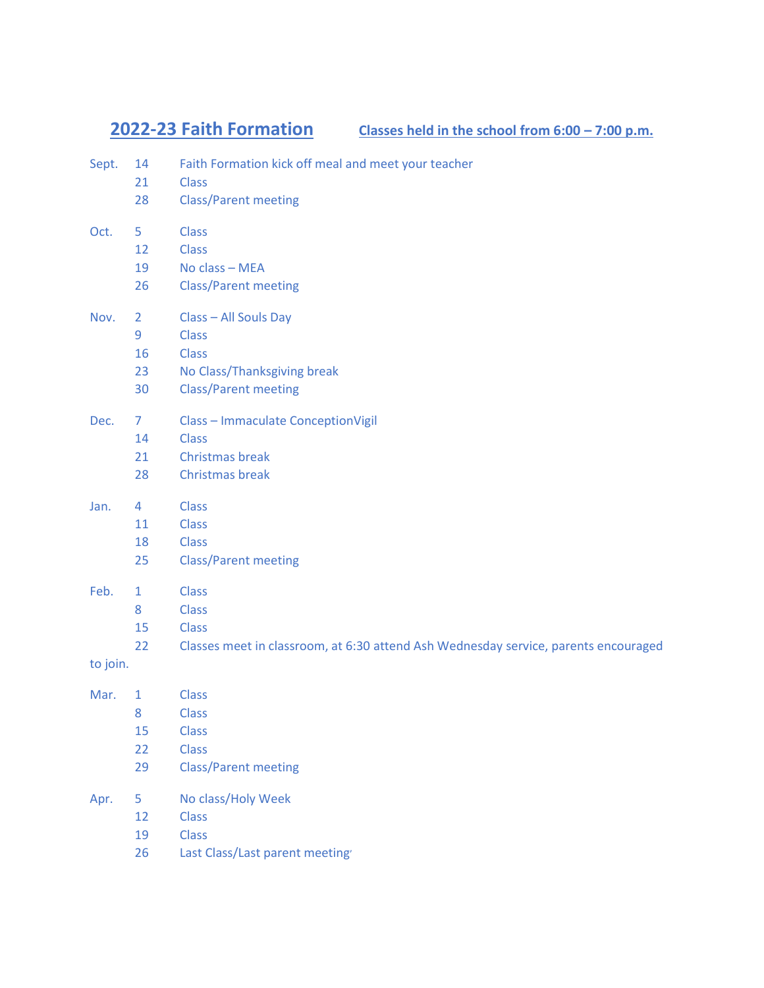**2022-23 Faith Formation Classes held in the school from 6:00 – 7:00 p.m.**

| Sept.    | 14<br>21<br>28                        | Faith Formation kick off meal and meet your teacher<br><b>Class</b><br><b>Class/Parent meeting</b>                                  |
|----------|---------------------------------------|-------------------------------------------------------------------------------------------------------------------------------------|
| Oct.     | 5<br>12<br>19<br>26                   | <b>Class</b><br><b>Class</b><br>No class - MEA<br><b>Class/Parent meeting</b>                                                       |
| Nov.     | $\overline{2}$<br>9<br>16<br>23<br>30 | Class - All Souls Day<br><b>Class</b><br><b>Class</b><br>No Class/Thanksgiving break<br><b>Class/Parent meeting</b>                 |
| Dec.     | $\mathcal{I}$<br>14<br>21<br>28       | <b>Class - Immaculate ConceptionVigil</b><br><b>Class</b><br>Christmas break<br>Christmas break                                     |
| Jan.     | $\overline{4}$<br>11<br>18<br>25      | <b>Class</b><br><b>Class</b><br><b>Class</b><br><b>Class/Parent meeting</b>                                                         |
| Feb.     | $\mathbf{1}$<br>8<br>15<br>22         | <b>Class</b><br><b>Class</b><br><b>Class</b><br>Classes meet in classroom, at 6:30 attend Ash Wednesday service, parents encouraged |
| to join. |                                       |                                                                                                                                     |
| Mar.     | 1<br>8<br>15<br>22<br>29              | <b>Class</b><br><b>Class</b><br><b>Class</b><br><b>Class</b><br><b>Class/Parent meeting</b>                                         |
| Apr.     | 5<br>12<br>19<br>26                   | No class/Holy Week<br><b>Class</b><br><b>Class</b><br>Last Class/Last parent meeting                                                |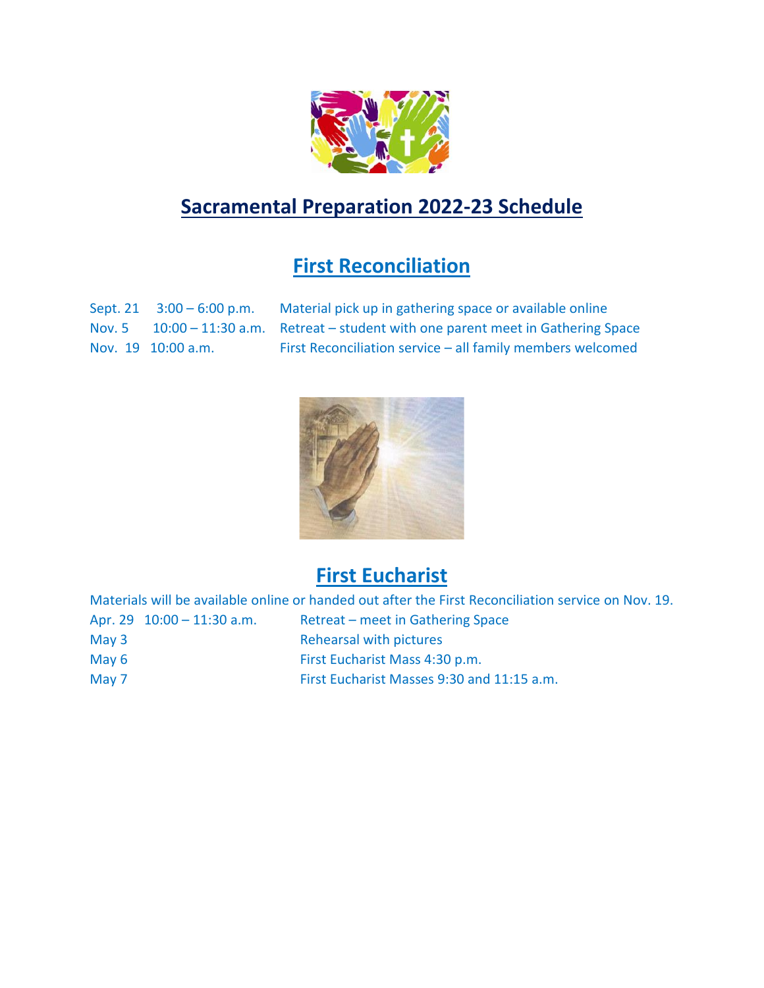

## **Sacramental Preparation 2022-23 Schedule**

## **First Reconciliation**

Sept. 21 3:00 – 6:00 p.m. Material pick up in gathering space or available online Nov. 5 10:00 – 11:30 a.m. Retreat – student with one parent meet in Gathering Space Nov. 19 10:00 a.m. First Reconciliation service – all family members welcomed



## **First Eucharist**

|                              | Materials will be available online or handed out after the First Reconciliation service on Nov. 19. |
|------------------------------|-----------------------------------------------------------------------------------------------------|
| Apr. 29 $10:00 - 11:30$ a.m. | Retreat – meet in Gathering Space                                                                   |
| May $3$                      | Rehearsal with pictures                                                                             |
| May 6                        | First Eucharist Mass 4:30 p.m.                                                                      |
| May 7                        | First Eucharist Masses 9:30 and 11:15 a.m.                                                          |